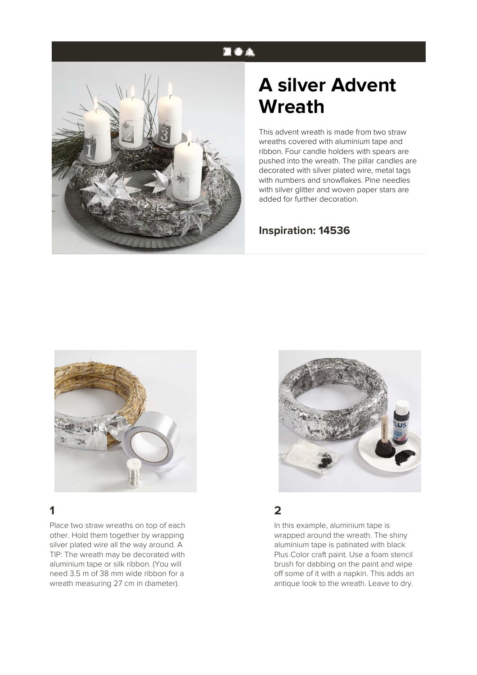## **EOA**



# **A silver Advent Wreath**

This advent wreath is made from two straw wreaths covered with aluminium tape and ribbon. Four candle holders with spears are pushed into the wreath. The pillar candles are decorated with silver plated wire, metal tags with numbers and snowflakes. Pine needles with silver glitter and woven paper stars are added for further decoration.

#### **Inspiration: 14536**



# **1**

Place two straw wreaths on top of each other. Hold them together by wrapping silver plated wire all the way around. A TIP: The wreath may be decorated with aluminium tape or silk ribbon. (You will need 3.5 m of 38 mm wide ribbon for a wreath measuring 27 cm in diameter).



#### **2**

In this example, aluminium tape is wrapped around the wreath. The shiny aluminium tape is patinated with black Plus Color craft paint. Use a foam stencil brush for dabbing on the paint and wipe off some of it with a napkin. This adds an antique look to the wreath. Leave to dry.